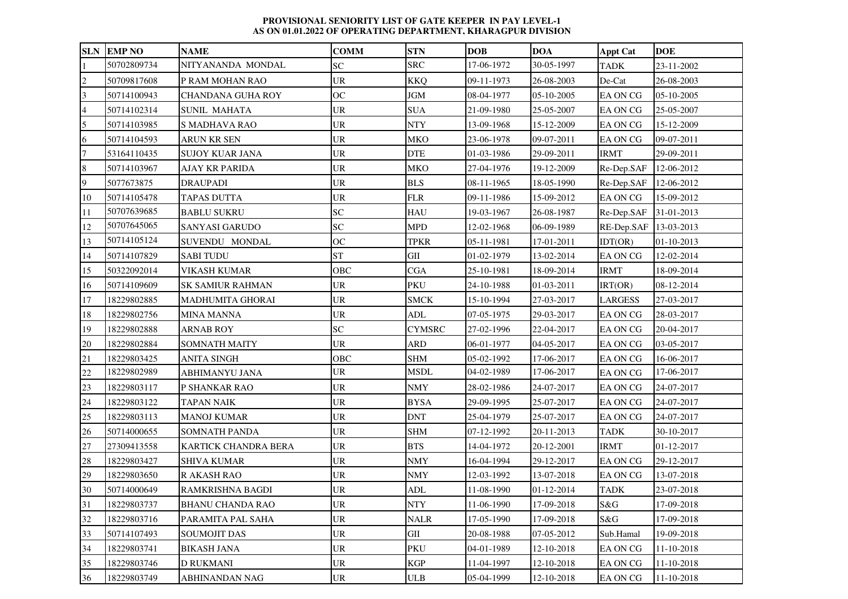## **PROVISIONAL SENIORITY LIST OF GATE KEEPER IN PAY LEVEL-1AS ON 01.01.2022 OF OPERATING DEPARTMENT, KHARAGPUR DIVISION**

|                 | <b>SLN EMP NO</b> | <b>NAME</b>             | <b>COMM</b>                       | <b>STN</b>    | <b>DOB</b> | <b>DOA</b> | <b>Appt Cat</b> | <b>DOE</b> |
|-----------------|-------------------|-------------------------|-----------------------------------|---------------|------------|------------|-----------------|------------|
|                 | 50702809734       | NITYANANDA MONDAL       | <b>SC</b>                         | <b>SRC</b>    | 17-06-1972 | 30-05-1997 | <b>TADK</b>     | 23-11-2002 |
| $\overline{2}$  | 50709817608       | P RAM MOHAN RAO         | <b>UR</b>                         | <b>KKQ</b>    | 09-11-1973 | 26-08-2003 | De-Cat          | 26-08-2003 |
| 3               | 50714100943       | CHANDANA GUHA ROY       | <b>OC</b>                         | <b>JGM</b>    | 08-04-1977 | 05-10-2005 | <b>EA ON CG</b> | 05-10-2005 |
| $\overline{4}$  | 50714102314       | <b>SUNIL MAHATA</b>     | $\ensuremath{\mathrm{UR}}\xspace$ | <b>SUA</b>    | 21-09-1980 | 25-05-2007 | <b>EA ON CG</b> | 25-05-2007 |
| 5               | 50714103985       | S MADHAVA RAO           | <b>UR</b>                         | <b>NTY</b>    | 13-09-1968 | 15-12-2009 | <b>EA ON CG</b> | 15-12-2009 |
| 6               | 50714104593       | <b>ARUN KR SEN</b>      | <b>UR</b>                         | <b>MKO</b>    | 23-06-1978 | 09-07-2011 | <b>EA ON CG</b> | 09-07-2011 |
| 7               | 53164110435       | <b>SUJOY KUAR JANA</b>  | <b>UR</b>                         | <b>DTE</b>    | 01-03-1986 | 29-09-2011 | <b>IRMT</b>     | 29-09-2011 |
| $8\phantom{.0}$ | 50714103967       | AJAY KR PARIDA          | <b>UR</b>                         | <b>MKO</b>    | 27-04-1976 | 19-12-2009 | Re-Dep.SAF      | 12-06-2012 |
| 9               | 5077673875        | <b>DRAUPADI</b>         | <b>UR</b>                         | <b>BLS</b>    | 08-11-1965 | 18-05-1990 | Re-Dep.SAF      | 12-06-2012 |
| 10              | 50714105478       | <b>TAPAS DUTTA</b>      | <b>UR</b>                         | ${\rm FLR}$   | 09-11-1986 | 15-09-2012 | EA ON CG        | 15-09-2012 |
| 11              | 50707639685       | <b>BABLU SUKRU</b>      | <b>SC</b>                         | HAU           | 19-03-1967 | 26-08-1987 | Re-Dep.SAF      | 31-01-2013 |
| 12              | 50707645065       | SANYASI GARUDO          | <b>SC</b>                         | <b>MPD</b>    | 12-02-1968 | 06-09-1989 | RE-Dep.SAF      | 13-03-2013 |
| 13              | 50714105124       | SUVENDU MONDAL          | <b>OC</b>                         | <b>TPKR</b>   | 05-11-1981 | 17-01-2011 | IDT(OR)         | 01-10-2013 |
| 14              | 50714107829       | <b>SABI TUDU</b>        | <b>ST</b>                         | GII           | 01-02-1979 | 13-02-2014 | <b>EA ON CG</b> | 12-02-2014 |
| 15              | 50322092014       | <b>VIKASH KUMAR</b>     | <b>OBC</b>                        | <b>CGA</b>    | 25-10-1981 | 18-09-2014 | <b>IRMT</b>     | 18-09-2014 |
| 16              | 50714109609       | <b>SK SAMIUR RAHMAN</b> | <b>UR</b>                         | <b>PKU</b>    | 24-10-1988 | 01-03-2011 | IRT(OR)         | 08-12-2014 |
| $17\,$          | 18229802885       | <b>MADHUMITA GHORAI</b> | <b>UR</b>                         | <b>SMCK</b>   | 15-10-1994 | 27-03-2017 | <b>LARGESS</b>  | 27-03-2017 |
| 18              | 18229802756       | <b>MINA MANNA</b>       | <b>UR</b>                         | <b>ADL</b>    | 07-05-1975 | 29-03-2017 | <b>EA ON CG</b> | 28-03-2017 |
| 19              | 18229802888       | <b>ARNAB ROY</b>        | <b>SC</b>                         | <b>CYMSRC</b> | 27-02-1996 | 22-04-2017 | EA ON CG        | 20-04-2017 |
| 20              | 18229802884       | <b>SOMNATH MAITY</b>    | $\ensuremath{\mathsf{UR}}\xspace$ | <b>ARD</b>    | 06-01-1977 | 04-05-2017 | <b>EA ON CG</b> | 03-05-2017 |
| 21              | 18229803425       | <b>ANITA SINGH</b>      | <b>OBC</b>                        | <b>SHM</b>    | 05-02-1992 | 17-06-2017 | EA ON CG        | 16-06-2017 |
| 22              | 18229802989       | ABHIMANYU JANA          | <b>UR</b>                         | <b>MSDL</b>   | 04-02-1989 | 17-06-2017 | <b>EA ON CG</b> | 17-06-2017 |
| 23              | 18229803117       | P SHANKAR RAO           | $\ensuremath{\mathsf{UR}}\xspace$ | <b>NMY</b>    | 28-02-1986 | 24-07-2017 | <b>EA ON CG</b> | 24-07-2017 |
| 24              | 18229803122       | <b>TAPAN NAIK</b>       | <b>UR</b>                         | <b>BYSA</b>   | 29-09-1995 | 25-07-2017 | EA ON CG        | 24-07-2017 |
| 25              | 18229803113       | <b>MANOJ KUMAR</b>      | <b>UR</b>                         | <b>DNT</b>    | 25-04-1979 | 25-07-2017 | <b>EA ON CG</b> | 24-07-2017 |
| 26              | 50714000655       | <b>SOMNATH PANDA</b>    | $\ensuremath{\mathsf{UR}}\xspace$ | <b>SHM</b>    | 07-12-1992 | 20-11-2013 | <b>TADK</b>     | 30-10-2017 |
| 27              | 27309413558       | KARTICK CHANDRA BERA    | <b>UR</b>                         | <b>BTS</b>    | 14-04-1972 | 20-12-2001 | <b>IRMT</b>     | 01-12-2017 |
| 28              | 18229803427       | <b>SHIVA KUMAR</b>      | $\ensuremath{\mathsf{UR}}\xspace$ | <b>NMY</b>    | 16-04-1994 | 29-12-2017 | EA ON CG        | 29-12-2017 |
| 29              | 18229803650       | R AKASH RAO             | <b>UR</b>                         | <b>NMY</b>    | 12-03-1992 | 13-07-2018 | <b>EA ON CG</b> | 13-07-2018 |
| 30              | 50714000649       | RAMKRISHNA BAGDI        | <b>UR</b>                         | <b>ADL</b>    | 11-08-1990 | 01-12-2014 | <b>TADK</b>     | 23-07-2018 |
| 31              | 18229803737       | <b>BHANU CHANDA RAO</b> | <b>UR</b>                         | <b>NTY</b>    | 11-06-1990 | 17-09-2018 | S&G             | 17-09-2018 |
| 32              | 18229803716       | PARAMITA PAL SAHA       | <b>UR</b>                         | <b>NALR</b>   | 17-05-1990 | 17-09-2018 | S&G             | 17-09-2018 |
| 33              | 50714107493       | <b>SOUMOJIT DAS</b>     | <b>UR</b>                         | GII           | 20-08-1988 | 07-05-2012 | Sub.Hamal       | 19-09-2018 |
| 34              | 18229803741       | <b>BIKASH JANA</b>      | <b>UR</b>                         | PKU           | 04-01-1989 | 12-10-2018 | EA ON CG        | 11-10-2018 |
| 35              | 18229803746       | <b>D RUKMANI</b>        | <b>UR</b>                         | <b>KGP</b>    | 11-04-1997 | 12-10-2018 | <b>EA ON CG</b> | 11-10-2018 |
| 36              | 18229803749       | ABHINANDAN NAG          | <b>UR</b>                         | <b>ULB</b>    | 05-04-1999 | 12-10-2018 | EA ON CG        | 11-10-2018 |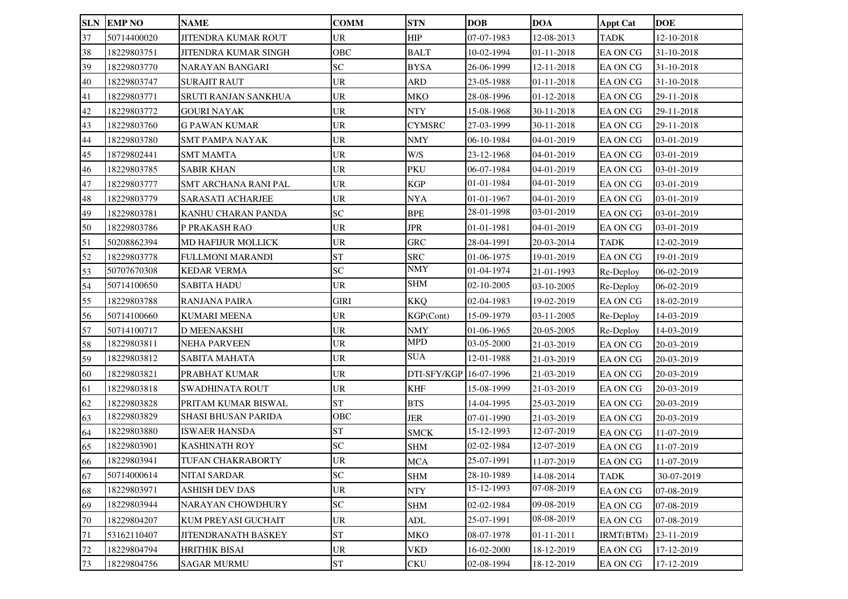| <b>SLN</b> | <b>EMP NO</b> | <b>NAME</b>                 | <b>COMM</b>                       | <b>STN</b>             | <b>DOB</b> | <b>DOA</b> | <b>Appt Cat</b> | <b>DOE</b> |
|------------|---------------|-----------------------------|-----------------------------------|------------------------|------------|------------|-----------------|------------|
| 37         | 50714400020   | JITENDRA KUMAR ROUT         | <b>UR</b>                         | <b>HIP</b>             | 07-07-1983 | 12-08-2013 | <b>TADK</b>     | 12-10-2018 |
| 38         | 18229803751   | JITENDRA KUMAR SINGH        | OBC                               | <b>BALT</b>            | 10-02-1994 | 01-11-2018 | <b>EA ON CG</b> | 31-10-2018 |
| 39         | 18229803770   | NARAYAN BANGARI             | SC                                | <b>BYSA</b>            | 26-06-1999 | 12-11-2018 | EA ON CG        | 31-10-2018 |
| 40         | 18229803747   | <b>SURAJIT RAUT</b>         | <b>UR</b>                         | <b>ARD</b>             | 23-05-1988 | 01-11-2018 | <b>EA ON CG</b> | 31-10-2018 |
| 41         | 18229803771   | SRUTI RANJAN SANKHUA        | UR                                | MKO                    | 28-08-1996 | 01-12-2018 | EA ON CG        | 29-11-2018 |
| 42         | 18229803772   | <b>GOURI NAYAK</b>          | UR                                | <b>NTY</b>             | 15-08-1968 | 30-11-2018 | EA ON CG        | 29-11-2018 |
| 43         | 18229803760   | <b>G PAWAN KUMAR</b>        | UR                                | <b>CYMSRC</b>          | 27-03-1999 | 30-11-2018 | EA ON CG        | 29-11-2018 |
| 44         | 18229803780   | <b>SMT PAMPA NAYAK</b>      | <b>UR</b>                         | <b>NMY</b>             | 06-10-1984 | 04-01-2019 | <b>EA ON CG</b> | 03-01-2019 |
| 45         | 18729802441   | <b>SMT MAMTA</b>            | UR                                | W/S                    | 23-12-1968 | 04-01-2019 | EA ON CG        | 03-01-2019 |
| 46         | 18229803785   | <b>SABIR KHAN</b>           | <b>UR</b>                         | <b>PKU</b>             | 06-07-1984 | 04-01-2019 | EA ON CG        | 03-01-2019 |
| 47         | 18229803777   | <b>SMT ARCHANA RANI PAL</b> | UR                                | <b>KGP</b>             | 01-01-1984 | 04-01-2019 | EA ON CG        | 03-01-2019 |
| 48         | 18229803779   | <b>SARASATI ACHARJEE</b>    | UR                                | <b>NYA</b>             | 01-01-1967 | 04-01-2019 | EA ON CG        | 03-01-2019 |
| 49         | 18229803781   | KANHU CHARAN PANDA          | SC                                | <b>BPE</b>             | 28-01-1998 | 03-01-2019 | EA ON CG        | 03-01-2019 |
| 50         | 18229803786   | P PRAKASH RAO               | UR                                | <b>JPR</b>             | 01-01-1981 | 04-01-2019 | <b>EA ON CG</b> | 03-01-2019 |
| 51         | 50208862394   | MD HAFIJUR MOLLICK          | UR                                | <b>GRC</b>             | 28-04-1991 | 20-03-2014 | <b>TADK</b>     | 12-02-2019 |
| 52         | 18229803778   | FULLMONI MARANDI            | <b>ST</b>                         | <b>SRC</b>             | 01-06-1975 | 19-01-2019 | <b>EA ON CG</b> | 19-01-2019 |
| 53         | 50707670308   | <b>KEDAR VERMA</b>          | SC                                | NMY                    | 01-04-1974 | 21-01-1993 | Re-Deploy       | 06-02-2019 |
| 54         | 50714100650   | <b>SABITA HADU</b>          | <b>UR</b>                         | <b>SHM</b>             | 02-10-2005 | 03-10-2005 | Re-Deploy       | 06-02-2019 |
| 55         | 18229803788   | RANJANA PAIRA               | GIRI                              | <b>KKQ</b>             | 02-04-1983 | 19-02-2019 | <b>EA ON CG</b> | 18-02-2019 |
| 56         | 50714100660   | <b>KUMARI MEENA</b>         | <b>UR</b>                         | KGP(Cont)              | 15-09-1979 | 03-11-2005 | Re-Deploy       | 14-03-2019 |
| 57         | 50714100717   | <b>D MEENAKSHI</b>          | UR                                | <b>NMY</b>             | 01-06-1965 | 20-05-2005 | Re-Deploy       | 14-03-2019 |
| 58         | 18229803811   | <b>NEHA PARVEEN</b>         | UR                                | MPD                    | 03-05-2000 | 21-03-2019 | <b>EA ON CG</b> | 20-03-2019 |
| 59         | 18229803812   | <b>SABITA MAHATA</b>        | UR                                | <b>SUA</b>             | 12-01-1988 | 21-03-2019 | EA ON CG        | 20-03-2019 |
| 60         | 18229803821   | PRABHAT KUMAR               | <b>UR</b>                         | DTI-SFY/KGP 16-07-1996 |            | 21-03-2019 | EA ON CG        | 20-03-2019 |
| 61         | 18229803818   | <b>SWADHINATA ROUT</b>      | <b>UR</b>                         | <b>KHF</b>             | 15-08-1999 | 21-03-2019 | EA ON CG        | 20-03-2019 |
| 62         | 18229803828   | PRITAM KUMAR BISWAL         | <b>ST</b>                         | <b>BTS</b>             | 14-04-1995 | 25-03-2019 | EA ON CG        | 20-03-2019 |
| 63         | 18229803829   | <b>SHASI BHUSAN PARIDA</b>  | OBC                               | <b>JER</b>             | 07-01-1990 | 21-03-2019 | <b>EA ON CG</b> | 20-03-2019 |
| 64         | 18229803880   | <b>ISWAER HANSDA</b>        | <b>ST</b>                         | <b>SMCK</b>            | 15-12-1993 | 12-07-2019 | EA ON CG        | 11-07-2019 |
| 65         | 18229803901   | <b>KASHINATH ROY</b>        | SC                                | <b>SHM</b>             | 02-02-1984 | 12-07-2019 | EA ON CG        | 11-07-2019 |
| 66         | 18229803941   | TUFAN CHAKRABORTY           | <b>UR</b>                         | <b>MCA</b>             | 25-07-1991 | 11-07-2019 | EA ON CG        | 11-07-2019 |
| 67         | 50714000614   | <b>NITAI SARDAR</b>         | <b>SC</b>                         | <b>SHM</b>             | 28-10-1989 | 14-08-2014 | <b>TADK</b>     | 30-07-2019 |
| 68         | 18229803971   | <b>ASHISH DEV DAS</b>       | $\ensuremath{\mathsf{UR}}\xspace$ | <b>NTY</b>             | 15-12-1993 | 07-08-2019 | <b>EA ON CG</b> | 07-08-2019 |
| 69         | 18229803944   | <b>NARAYAN CHOWDHURY</b>    | <b>SC</b>                         | <b>SHM</b>             | 02-02-1984 | 09-08-2019 | EA ON CG        | 07-08-2019 |
| 70         | 18229804207   | KUM PREYASI GUCHAIT         | UR                                | $\mbox{\rm ADL}$       | 25-07-1991 | 08-08-2019 | <b>EA ON CG</b> | 07-08-2019 |
| 71         | 53162110407   | <b>JITENDRANATH BASKEY</b>  | <b>ST</b>                         | <b>MKO</b>             | 08-07-1978 | 01-11-2011 | IRMT(BTM)       | 23-11-2019 |
| $72\,$     | 18229804794   | <b>HRITHIK BISAI</b>        | UR                                | VKD                    | 16-02-2000 | 18-12-2019 | EA ON CG        | 17-12-2019 |
| 73         | 18229804756   | <b>SAGAR MURMU</b>          | ${\cal S}{\cal T}$                | <b>CKU</b>             | 02-08-1994 | 18-12-2019 | EA ON CG        | 17-12-2019 |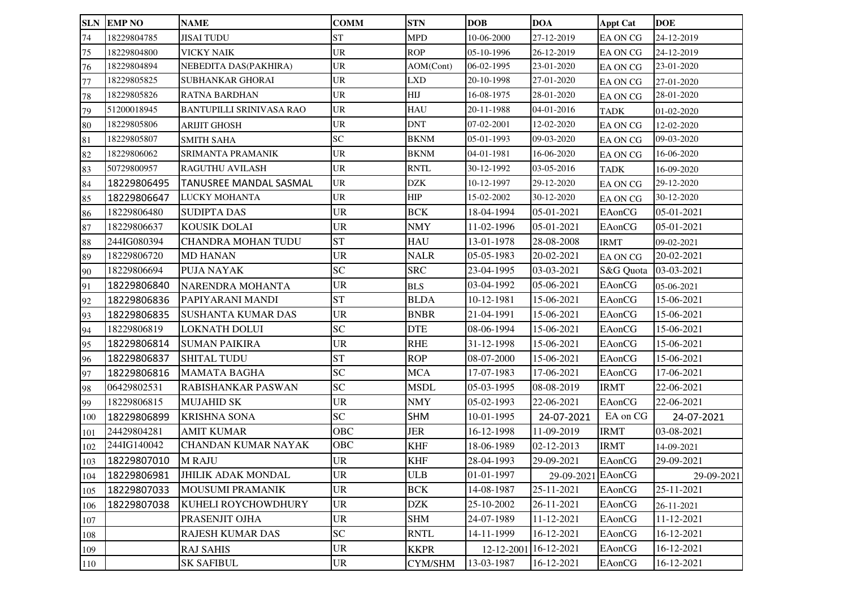|     | <b>SLN EMP NO</b> | <b>NAME</b>                     | <b>COMM</b> | <b>STN</b>  | <b>DOB</b>      | <b>DOA</b>        | <b>Appt Cat</b> | <b>DOE</b> |
|-----|-------------------|---------------------------------|-------------|-------------|-----------------|-------------------|-----------------|------------|
| 74  | 18229804785       | <b>JISAI TUDU</b>               | <b>ST</b>   | <b>MPD</b>  | 10-06-2000      | 27-12-2019        | <b>EA ON CG</b> | 24-12-2019 |
| 75  | 18229804800       | VICKY NAIK                      | UR          | <b>ROP</b>  | 05-10-1996      | 26-12-2019        | EA ON CG        | 24-12-2019 |
| 76  | 18229804894       | NEBEDITA DAS(PAKHIRA)           | <b>UR</b>   | AOM(Cont)   | 06-02-1995      | 23-01-2020        | <b>EA ON CG</b> | 23-01-2020 |
| 77  | 18229805825       | <b>SUBHANKAR GHORAI</b>         | UR          | <b>LXD</b>  | 20-10-1998      | 27-01-2020        | EA ON CG        | 27-01-2020 |
| 78  | 18229805826       | RATNA BARDHAN                   | UR          | HIJ         | 16-08-1975      | 28-01-2020        | <b>EA ON CG</b> | 28-01-2020 |
| 79  | 51200018945       | <b>BANTUPILLI SRINIVASA RAO</b> | <b>UR</b>   | HAU         | 20-11-1988      | 04-01-2016        | <b>TADK</b>     | 01-02-2020 |
| 80  | 18229805806       | <b>ARIJIT GHOSH</b>             | UR          | DNT         | 07-02-2001      | 12-02-2020        | EA ON CG        | 12-02-2020 |
| 81  | 18229805807       | <b>SMITH SAHA</b>               | SC          | <b>BKNM</b> | 05-01-1993      | 09-03-2020        | <b>EA ON CG</b> | 09-03-2020 |
| 82  | 18229806062       | SRIMANTA PRAMANIK               | <b>UR</b>   | <b>BKNM</b> | 04-01-1981      | 16-06-2020        | <b>EA ON CG</b> | 16-06-2020 |
| 83  | 50729800957       | RAGUTHU AVILASH                 | <b>UR</b>   | <b>RNTL</b> | 30-12-1992      | 03-05-2016        | <b>TADK</b>     | 16-09-2020 |
| 84  | 18229806495       | TANUSREE MANDAL SASMAL          | <b>UR</b>   | <b>DZK</b>  | 10-12-1997      | 29-12-2020        | <b>EA ON CG</b> | 29-12-2020 |
| 85  | 18229806647       | LUCKY MOHANTA                   | UR          | <b>HIP</b>  | 15-02-2002      | 30-12-2020        | EA ON CG        | 30-12-2020 |
| 86  | 18229806480       | <b>SUDIPTA DAS</b>              | <b>UR</b>   | <b>BCK</b>  | 18-04-1994      | 05-01-2021        | <b>EAonCG</b>   | 05-01-2021 |
| 87  | 18229806637       | <b>KOUSIK DOLAI</b>             | <b>UR</b>   | <b>NMY</b>  | 11-02-1996      | 05-01-2021        | <b>EAonCG</b>   | 05-01-2021 |
| 88  | 244IG080394       | <b>CHANDRA MOHAN TUDU</b>       | <b>ST</b>   | <b>HAU</b>  | 13-01-1978      | 28-08-2008        | <b>IRMT</b>     | 09-02-2021 |
| 89  | 18229806720       | <b>MD HANAN</b>                 | <b>UR</b>   | <b>NALR</b> | 05-05-1983      | 20-02-2021        | <b>EA ON CG</b> | 20-02-2021 |
| 90  | 18229806694       | PUJA NAYAK                      | <b>SC</b>   | <b>SRC</b>  | 23-04-1995      | 03-03-2021        | S&G Quota       | 03-03-2021 |
| 91  | 18229806840       | NARENDRA MOHANTA                | <b>UR</b>   | <b>BLS</b>  | 03-04-1992      | 05-06-2021        | <b>EAonCG</b>   | 05-06-2021 |
| 92  | 18229806836       | PAPIYARANI MANDI                | <b>ST</b>   | <b>BLDA</b> | 10-12-1981      | 15-06-2021        | <b>EAonCG</b>   | 15-06-2021 |
| 93  | 18229806835       | <b>SUSHANTA KUMAR DAS</b>       | <b>UR</b>   | <b>BNBR</b> | 21-04-1991      | 15-06-2021        | <b>EAonCG</b>   | 15-06-2021 |
| 94  | 18229806819       | <b>LOKNATH DOLUI</b>            | <b>SC</b>   | <b>DTE</b>  | 08-06-1994      | 15-06-2021        | <b>EAonCG</b>   | 15-06-2021 |
| 95  | 18229806814       | <b>SUMAN PAIKIRA</b>            | <b>UR</b>   | <b>RHE</b>  | 31-12-1998      | 15-06-2021        | <b>EAonCG</b>   | 15-06-2021 |
| 96  | 18229806837       | <b>SHITAL TUDU</b>              | <b>ST</b>   | <b>ROP</b>  | 08-07-2000      | 15-06-2021        | <b>EAonCG</b>   | 15-06-2021 |
| 97  | 18229806816       | <b>MAMATA BAGHA</b>             | <b>SC</b>   | <b>MCA</b>  | 17-07-1983      | 17-06-2021        | <b>EAonCG</b>   | 17-06-2021 |
| 98  | 06429802531       | RABISHANKAR PASWAN              | <b>SC</b>   | <b>MSDL</b> | 05-03-1995      | 08-08-2019        | <b>IRMT</b>     | 22-06-2021 |
| 99  | 18229806815       | <b>MUJAHID SK</b>               | <b>UR</b>   | <b>NMY</b>  | 05-02-1993      | 22-06-2021        | EAonCG          | 22-06-2021 |
| 100 | 18229806899       | <b>KRISHNA SONA</b>             | <b>SC</b>   | <b>SHM</b>  | 10-01-1995      | 24-07-2021        | EA on CG        | 24-07-2021 |
| 101 | 24429804281       | <b>AMIT KUMAR</b>               | OBC         | <b>JER</b>  | 16-12-1998      | 11-09-2019        | <b>IRMT</b>     | 03-08-2021 |
| 102 | 244IG140042       | <b>CHANDAN KUMAR NAYAK</b>      | OBC         | <b>KHF</b>  | 18-06-1989      | 02-12-2013        | <b>IRMT</b>     | 14-09-2021 |
| 103 | 18229807010       | <b>M RAJU</b>                   | <b>UR</b>   | <b>KHF</b>  | 28-04-1993      | 29-09-2021        | <b>EAonCG</b>   | 29-09-2021 |
| 104 | 18229806981       | <b>JHILIK ADAK MONDAL</b>       | <b>UR</b>   | <b>ULB</b>  | 01-01-1997      | 29-09-2021 EAonCG |                 | 29-09-2021 |
| 105 | 18229807033       | <b>MOUSUMI PRAMANIK</b>         | <b>UR</b>   | <b>BCK</b>  | 14-08-1987      | 25-11-2021        | <b>EAonCG</b>   | 25-11-2021 |
| 106 | 18229807038       | KUHELI ROYCHOWDHURY             | <b>UR</b>   | <b>DZK</b>  | 25-10-2002      | 26-11-2021        | <b>EAonCG</b>   | 26-11-2021 |
| 107 |                   | PRASENJIT OJHA                  | <b>UR</b>   | <b>SHM</b>  | 24-07-1989      | 11-12-2021        | <b>EAonCG</b>   | 11-12-2021 |
| 108 |                   | <b>RAJESH KUMAR DAS</b>         | <b>SC</b>   | <b>RNTL</b> | 14-11-1999      | 16-12-2021        | <b>EAonCG</b>   | 16-12-2021 |
| 109 |                   | <b>RAJ SAHIS</b>                | <b>UR</b>   | <b>KKPR</b> | $12 - 12 - 200$ | $16-12-2021$      | <b>EAonCG</b>   | 16-12-2021 |
| 110 |                   | <b>SK SAFIBUL</b>               | <b>UR</b>   | CYM/SHM     | 13-03-1987      | 16-12-2021        | EAonCG          | 16-12-2021 |